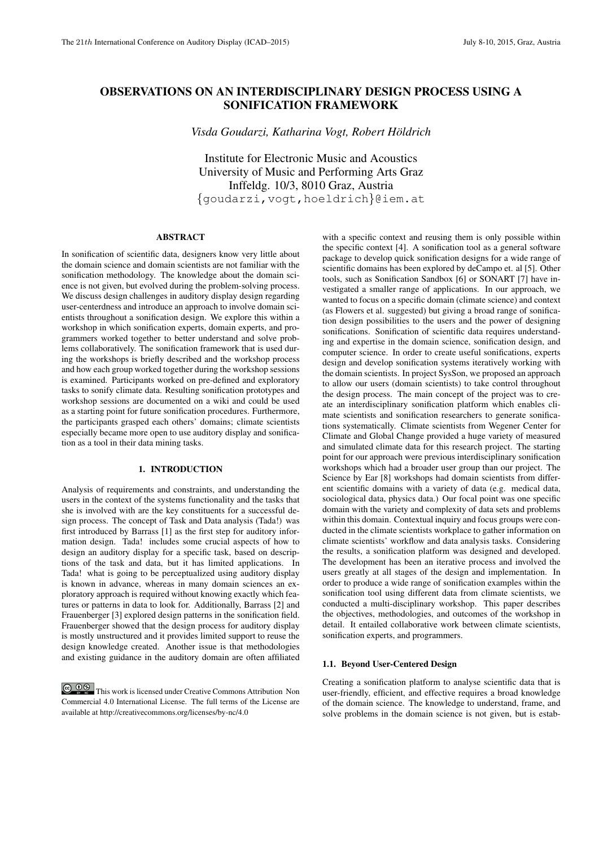# OBSERVATIONS ON AN INTERDISCIPLINARY DESIGN PROCESS USING A SONIFICATION FRAMEWORK

*Visda Goudarzi, Katharina Vogt, Robert Holdrich ¨*

Institute for Electronic Music and Acoustics University of Music and Performing Arts Graz Inffeldg. 10/3, 8010 Graz, Austria {goudarzi,vogt,hoeldrich}@iem.at

# ABSTRACT

In sonification of scientific data, designers know very little about the domain science and domain scientists are not familiar with the sonification methodology. The knowledge about the domain science is not given, but evolved during the problem-solving process. We discuss design challenges in auditory display design regarding user-centerdness and introduce an approach to involve domain scientists throughout a sonification design. We explore this within a workshop in which sonification experts, domain experts, and programmers worked together to better understand and solve problems collaboratively. The sonification framework that is used during the workshops is briefly described and the workshop process and how each group worked together during the workshop sessions is examined. Participants worked on pre-defined and exploratory tasks to sonify climate data. Resulting sonification prototypes and workshop sessions are documented on a wiki and could be used as a starting point for future sonification procedures. Furthermore, the participants grasped each others' domains; climate scientists especially became more open to use auditory display and sonification as a tool in their data mining tasks.

# 1. INTRODUCTION

Analysis of requirements and constraints, and understanding the users in the context of the systems functionality and the tasks that she is involved with are the key constituents for a successful design process. The concept of Task and Data analysis (Tada!) was first introduced by Barrass [1] as the first step for auditory information design. Tada! includes some crucial aspects of how to design an auditory display for a specific task, based on descriptions of the task and data, but it has limited applications. In Tada! what is going to be perceptualized using auditory display is known in advance, whereas in many domain sciences an exploratory approach is required without knowing exactly which features or patterns in data to look for. Additionally, Barrass [2] and Frauenberger [3] explored design patterns in the sonification field. Frauenberger showed that the design process for auditory display is mostly unstructured and it provides limited support to reuse the design knowledge created. Another issue is that methodologies and existing guidance in the auditory domain are often affiliated

**CO**  $\bullet$  **This work is licensed under Creative Commons Attribution Non** Commercial 4.0 International License. The full terms of the License are available at http://creativecommons.org/licenses/by-nc/4.0

with a specific context and reusing them is only possible within the specific context [4]. A sonification tool as a general software package to develop quick sonification designs for a wide range of scientific domains has been explored by deCampo et. al [5]. Other tools, such as Sonification Sandbox [6] or SONART [7] have investigated a smaller range of applications. In our approach, we wanted to focus on a specific domain (climate science) and context (as Flowers et al. suggested) but giving a broad range of sonification design possibilities to the users and the power of designing sonifications. Sonification of scientific data requires understanding and expertise in the domain science, sonification design, and computer science. In order to create useful sonifications, experts design and develop sonification systems iteratively working with the domain scientists. In project SysSon, we proposed an approach to allow our users (domain scientists) to take control throughout the design process. The main concept of the project was to create an interdisciplinary sonification platform which enables climate scientists and sonification researchers to generate sonifications systematically. Climate scientists from Wegener Center for Climate and Global Change provided a huge variety of measured and simulated climate data for this research project. The starting point for our approach were previous interdisciplinary sonification workshops which had a broader user group than our project. The Science by Ear [8] workshops had domain scientists from different scientific domains with a variety of data (e.g. medical data, sociological data, physics data.) Our focal point was one specific domain with the variety and complexity of data sets and problems within this domain. Contextual inquiry and focus groups were conducted in the climate scientists workplace to gather information on climate scientists' workflow and data analysis tasks. Considering the results, a sonification platform was designed and developed. The development has been an iterative process and involved the users greatly at all stages of the design and implementation. In order to produce a wide range of sonification examples within the sonification tool using different data from climate scientists, we conducted a multi-disciplinary workshop. This paper describes the objectives, methodologies, and outcomes of the workshop in detail. It entailed collaborative work between climate scientists, sonification experts, and programmers.

## 1.1. Beyond User-Centered Design

Creating a sonification platform to analyse scientific data that is user-friendly, efficient, and effective requires a broad knowledge of the domain science. The knowledge to understand, frame, and solve problems in the domain science is not given, but is estab-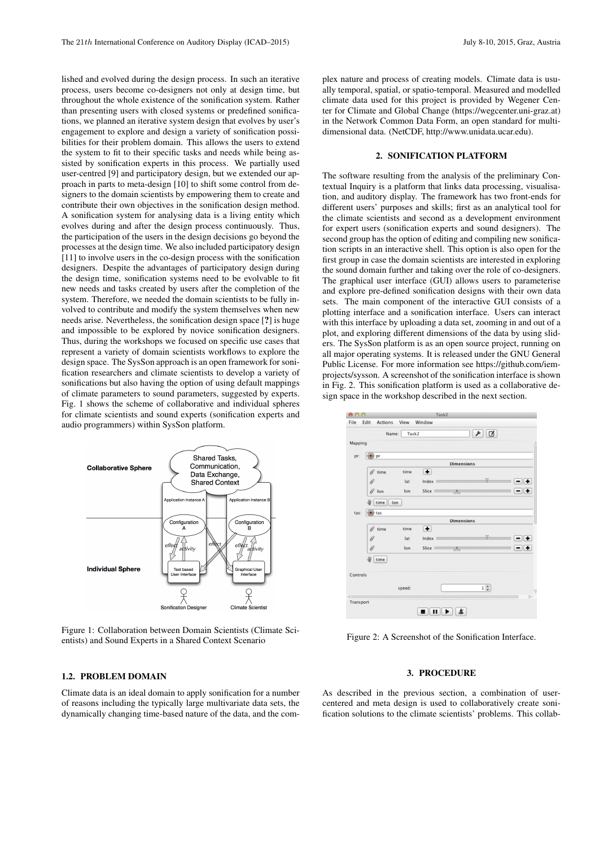lished and evolved during the design process. In such an iterative process, users become co-designers not only at design time, but throughout the whole existence of the sonification system. Rather than presenting users with closed systems or predefined sonifications, we planned an iterative system design that evolves by user's engagement to explore and design a variety of sonification possibilities for their problem domain. This allows the users to extend the system to fit to their specific tasks and needs while being assisted by sonification experts in this process. We partially used user-centred [9] and participatory design, but we extended our approach in parts to meta-design [10] to shift some control from designers to the domain scientists by empowering them to create and contribute their own objectives in the sonification design method. A sonification system for analysing data is a living entity which evolves during and after the design process continuously. Thus, the participation of the users in the design decisions go beyond the processes at the design time. We also included participatory design [11] to involve users in the co-design process with the sonification designers. Despite the advantages of participatory design during the design time, sonification systems need to be evolvable to fit new needs and tasks created by users after the completion of the system. Therefore, we needed the domain scientists to be fully involved to contribute and modify the system themselves when new needs arise. Nevertheless, the sonification design space [?] is huge and impossible to be explored by novice sonification designers. Thus, during the workshops we focused on specific use cases that represent a variety of domain scientists workflows to explore the design space. The SysSon approach is an open framework for sonification researchers and climate scientists to develop a variety of sonifications but also having the option of using default mappings of climate parameters to sound parameters, suggested by experts. Fig. 1 shows the scheme of collaborative and individual spheres for climate scientists and sound experts (sonification experts and audio programmers) within SysSon platform.



Figure 1: Collaboration between Domain Scientists (Climate Scientists) and Sound Experts in a Shared Context Scenario

## 1.2. PROBLEM DOMAIN

Climate data is an ideal domain to apply sonification for a number of reasons including the typically large multivariate data sets, the dynamically changing time-based nature of the data, and the complex nature and process of creating models. Climate data is usually temporal, spatial, or spatio-temporal. Measured and modelled climate data used for this project is provided by Wegener Center for Climate and Global Change (https://wegcenter.uni-graz.at) in the Network Common Data Form, an open standard for multidimensional data. (NetCDF, http://www.unidata.ucar.edu).

## 2. SONIFICATION PLATFORM

The software resulting from the analysis of the preliminary Contextual Inquiry is a platform that links data processing, visualisation, and auditory display. The framework has two front-ends for different users' purposes and skills; first as an analytical tool for the climate scientists and second as a development environment for expert users (sonification experts and sound designers). The second group has the option of editing and compiling new sonification scripts in an interactive shell. This option is also open for the first group in case the domain scientists are interested in exploring the sound domain further and taking over the role of co-designers. The graphical user interface (GUI) allows users to parameterise and explore pre-defined sonification designs with their own data sets. The main component of the interactive GUI consists of a plotting interface and a sonification interface. Users can interact with this interface by uploading a data set, zooming in and out of a plot, and exploring different dimensions of the data by using sliders. The SysSon platform is as an open source project, running on all major operating systems. It is released under the GNU General Public License. For more information see https://github.com/iemprojects/sysson. A screenshot of the sonification interface is shown in Fig. 2. This sonification platform is used as a collaborative design space in the workshop described in the next section.



Figure 2: A Screenshot of the Sonification Interface.

#### 3. PROCEDURE

As described in the previous section, a combination of usercentered and meta design is used to collaboratively create sonification solutions to the climate scientists' problems. This collab-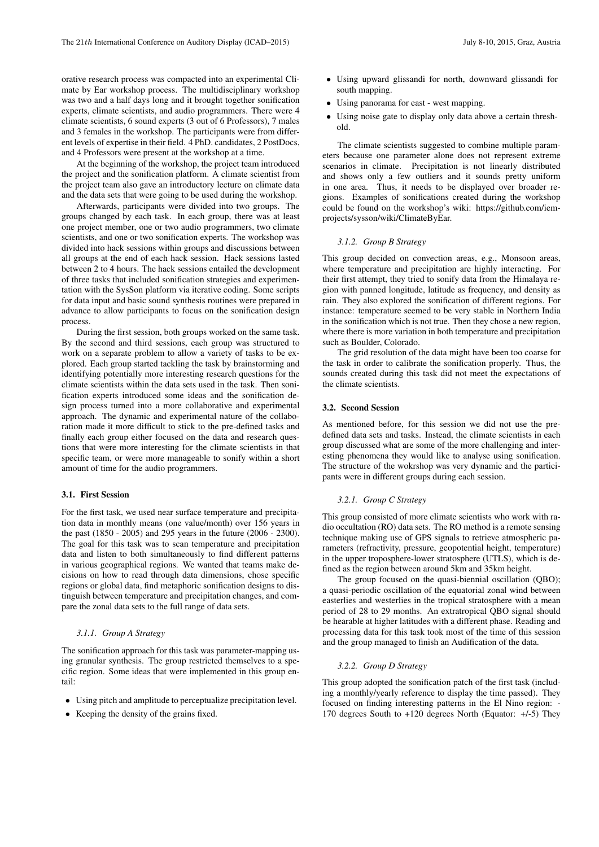orative research process was compacted into an experimental Climate by Ear workshop process. The multidisciplinary workshop was two and a half days long and it brought together sonification experts, climate scientists, and audio programmers. There were 4 climate scientists, 6 sound experts (3 out of 6 Professors), 7 males and 3 females in the workshop. The participants were from different levels of expertise in their field. 4 PhD. candidates, 2 PostDocs, and 4 Professors were present at the workshop at a time.

At the beginning of the workshop, the project team introduced the project and the sonification platform. A climate scientist from the project team also gave an introductory lecture on climate data and the data sets that were going to be used during the workshop.

Afterwards, participants were divided into two groups. The groups changed by each task. In each group, there was at least one project member, one or two audio programmers, two climate scientists, and one or two sonification experts. The workshop was divided into hack sessions within groups and discussions between all groups at the end of each hack session. Hack sessions lasted between 2 to 4 hours. The hack sessions entailed the development of three tasks that included sonification strategies and experimentation with the SysSon platform via iterative coding. Some scripts for data input and basic sound synthesis routines were prepared in advance to allow participants to focus on the sonification design process.

During the first session, both groups worked on the same task. By the second and third sessions, each group was structured to work on a separate problem to allow a variety of tasks to be explored. Each group started tackling the task by brainstorming and identifying potentially more interesting research questions for the climate scientists within the data sets used in the task. Then sonification experts introduced some ideas and the sonification design process turned into a more collaborative and experimental approach. The dynamic and experimental nature of the collaboration made it more difficult to stick to the pre-defined tasks and finally each group either focused on the data and research questions that were more interesting for the climate scientists in that specific team, or were more manageable to sonify within a short amount of time for the audio programmers.

#### 3.1. First Session

For the first task, we used near surface temperature and precipitation data in monthly means (one value/month) over 156 years in the past (1850 - 2005) and 295 years in the future (2006 - 2300). The goal for this task was to scan temperature and precipitation data and listen to both simultaneously to find different patterns in various geographical regions. We wanted that teams make decisions on how to read through data dimensions, chose specific regions or global data, find metaphoric sonification designs to distinguish between temperature and precipitation changes, and compare the zonal data sets to the full range of data sets.

# *3.1.1. Group A Strategy*

The sonification approach for this task was parameter-mapping using granular synthesis. The group restricted themselves to a specific region. Some ideas that were implemented in this group entail:

- Using pitch and amplitude to perceptualize precipitation level.
- Keeping the density of the grains fixed.
- Using upward glissandi for north, downward glissandi for south mapping.
- Using panorama for east west mapping.
- Using noise gate to display only data above a certain threshold.

The climate scientists suggested to combine multiple parameters because one parameter alone does not represent extreme scenarios in climate. Precipitation is not linearly distributed and shows only a few outliers and it sounds pretty uniform in one area. Thus, it needs to be displayed over broader regions. Examples of sonifications created during the workshop could be found on the workshop's wiki: https://github.com/iemprojects/sysson/wiki/ClimateByEar.

## *3.1.2. Group B Strategy*

This group decided on convection areas, e.g., Monsoon areas, where temperature and precipitation are highly interacting. For their first attempt, they tried to sonify data from the Himalaya region with panned longitude, latitude as frequency, and density as rain. They also explored the sonification of different regions. For instance: temperature seemed to be very stable in Northern India in the sonification which is not true. Then they chose a new region, where there is more variation in both temperature and precipitation such as Boulder, Colorado.

The grid resolution of the data might have been too coarse for the task in order to calibrate the sonification properly. Thus, the sounds created during this task did not meet the expectations of the climate scientists.

## 3.2. Second Session

As mentioned before, for this session we did not use the predefined data sets and tasks. Instead, the climate scientists in each group discussed what are some of the more challenging and interesting phenomena they would like to analyse using sonification. The structure of the wokrshop was very dynamic and the participants were in different groups during each session.

## *3.2.1. Group C Strategy*

This group consisted of more climate scientists who work with radio occultation (RO) data sets. The RO method is a remote sensing technique making use of GPS signals to retrieve atmospheric parameters (refractivity, pressure, geopotential height, temperature) in the upper troposphere-lower stratosphere (UTLS), which is defined as the region between around 5km and 35km height.

The group focused on the quasi-biennial oscillation (OBO); a quasi-periodic oscillation of the equatorial zonal wind between easterlies and westerlies in the tropical stratosphere with a mean period of 28 to 29 months. An extratropical QBO signal should be hearable at higher latitudes with a different phase. Reading and processing data for this task took most of the time of this session and the group managed to finish an Audification of the data.

# *3.2.2. Group D Strategy*

This group adopted the sonification patch of the first task (including a monthly/yearly reference to display the time passed). They focused on finding interesting patterns in the El Nino region: - 170 degrees South to +120 degrees North (Equator: +/-5) They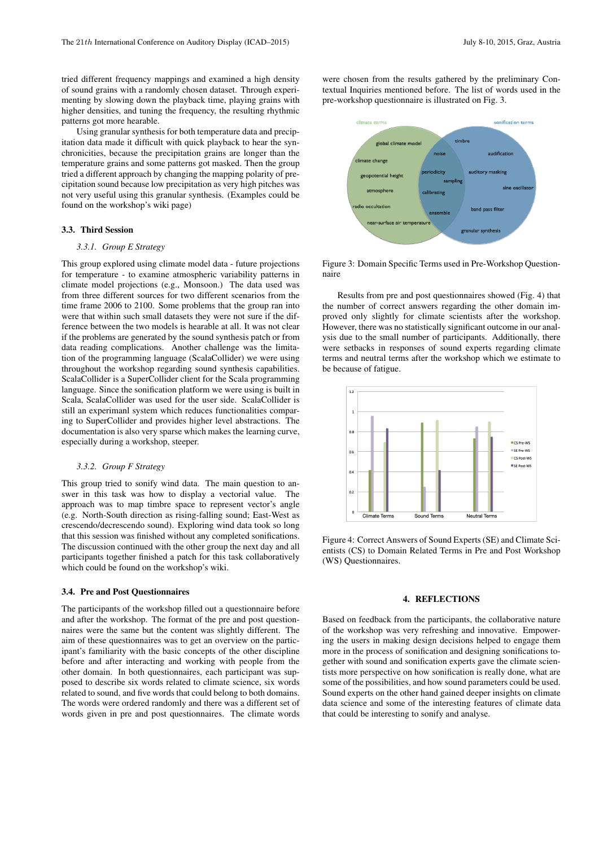tried different frequency mappings and examined a high density of sound grains with a randomly chosen dataset. Through experimenting by slowing down the playback time, playing grains with higher densities, and tuning the frequency, the resulting rhythmic patterns got more hearable.

Using granular synthesis for both temperature data and precipitation data made it difficult with quick playback to hear the synchronicities, because the precipitation grains are longer than the temperature grains and some patterns got masked. Then the group tried a different approach by changing the mapping polarity of precipitation sound because low precipitation as very high pitches was not very useful using this granular synthesis. (Examples could be found on the workshop's wiki page)

#### 3.3. Third Session

## *3.3.1. Group E Strategy*

This group explored using climate model data - future projections for temperature - to examine atmospheric variability patterns in climate model projections (e.g., Monsoon.) The data used was from three different sources for two different scenarios from the time frame 2006 to 2100. Some problems that the group ran into were that within such small datasets they were not sure if the difference between the two models is hearable at all. It was not clear if the problems are generated by the sound synthesis patch or from data reading complications. Another challenge was the limitation of the programming language (ScalaCollider) we were using throughout the workshop regarding sound synthesis capabilities. ScalaCollider is a SuperCollider client for the Scala programming language. Since the sonification platform we were using is built in Scala, ScalaCollider was used for the user side. ScalaCollider is still an experimanl system which reduces functionalities comparing to SuperCollider and provides higher level abstractions. The documentation is also very sparse which makes the learning curve, especially during a workshop, steeper.

## *3.3.2. Group F Strategy*

This group tried to sonify wind data. The main question to answer in this task was how to display a vectorial value. The approach was to map timbre space to represent vector's angle (e.g. North-South direction as rising-falling sound; East-West as crescendo/decrescendo sound). Exploring wind data took so long that this session was finished without any completed sonifications. The discussion continued with the other group the next day and all participants together finished a patch for this task collaboratively which could be found on the workshop's wiki.

#### 3.4. Pre and Post Questionnaires

The participants of the workshop filled out a questionnaire before and after the workshop. The format of the pre and post questionnaires were the same but the content was slightly different. The aim of these questionnaires was to get an overview on the participant's familiarity with the basic concepts of the other discipline before and after interacting and working with people from the other domain. In both questionnaires, each participant was supposed to describe six words related to climate science, six words related to sound, and five words that could belong to both domains. The words were ordered randomly and there was a different set of words given in pre and post questionnaires. The climate words

were chosen from the results gathered by the preliminary Contextual Inquiries mentioned before. The list of words used in the pre-workshop questionnaire is illustrated on Fig. 3.



Figure 3: Domain Specific Terms used in Pre-Workshop Questionnaire

Results from pre and post questionnaires showed (Fig. 4) that the number of correct answers regarding the other domain improved only slightly for climate scientists after the workshop. However, there was no statistically significant outcome in our analysis due to the small number of participants. Additionally, there were setbacks in responses of sound experts regarding climate terms and neutral terms after the workshop which we estimate to be because of fatigue.



Figure 4: Correct Answers of Sound Experts (SE) and Climate Scientists (CS) to Domain Related Terms in Pre and Post Workshop (WS) Questionnaires.

# 4. REFLECTIONS

Based on feedback from the participants, the collaborative nature of the workshop was very refreshing and innovative. Empowering the users in making design decisions helped to engage them more in the process of sonification and designing sonifications together with sound and sonification experts gave the climate scientists more perspective on how sonification is really done, what are some of the possibilities, and how sound parameters could be used. Sound experts on the other hand gained deeper insights on climate data science and some of the interesting features of climate data that could be interesting to sonify and analyse.